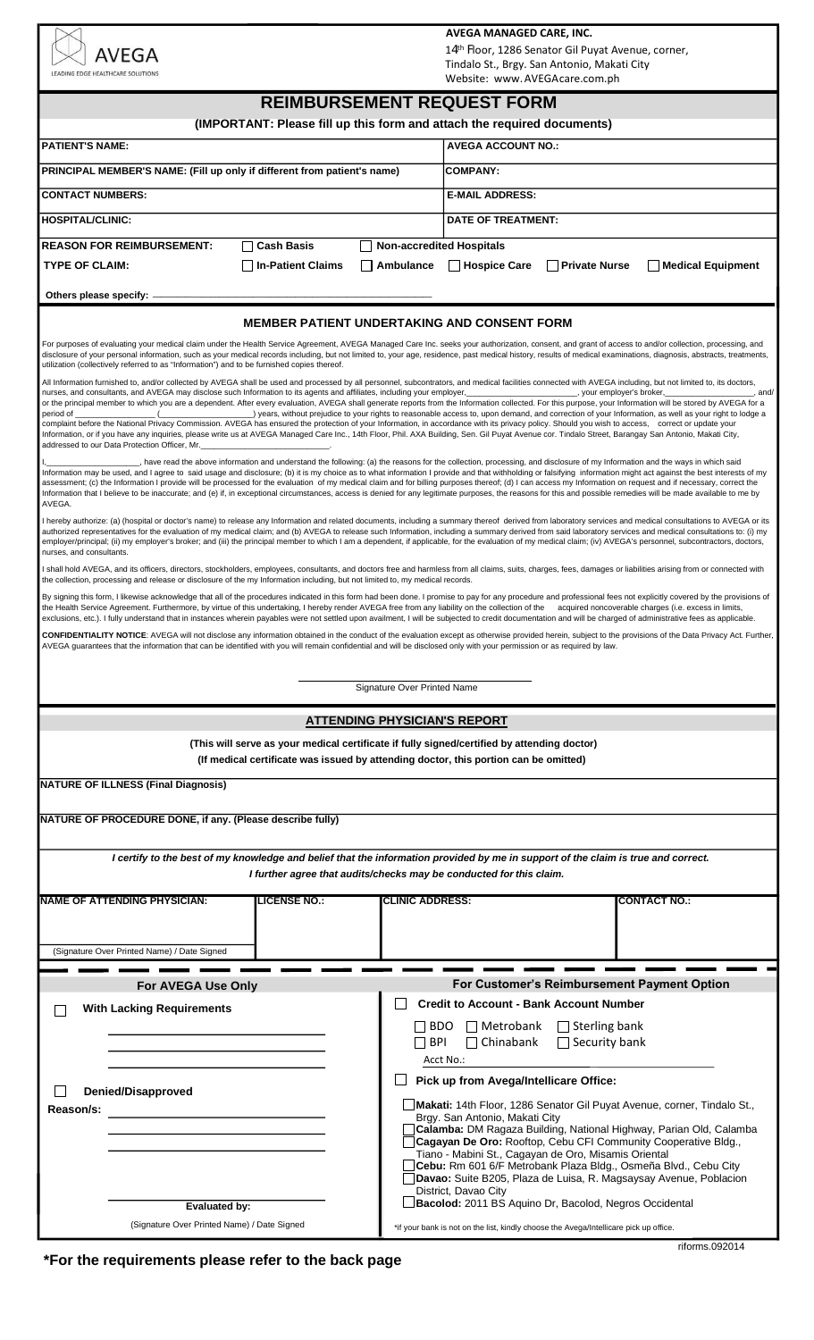|                                                                                                                                                                                                                                                                                                                                                                                                                                                                                                                                                                                                                                                                                                                                                                                                                                                                                                                                                                                                                                                                                                                                                                                                                                            |                                                        | AVEGA MANAGED CARE, INC.<br>14th Floor, 1286 Senator Gil Puyat Avenue, corner,                                                       |  |
|--------------------------------------------------------------------------------------------------------------------------------------------------------------------------------------------------------------------------------------------------------------------------------------------------------------------------------------------------------------------------------------------------------------------------------------------------------------------------------------------------------------------------------------------------------------------------------------------------------------------------------------------------------------------------------------------------------------------------------------------------------------------------------------------------------------------------------------------------------------------------------------------------------------------------------------------------------------------------------------------------------------------------------------------------------------------------------------------------------------------------------------------------------------------------------------------------------------------------------------------|--------------------------------------------------------|--------------------------------------------------------------------------------------------------------------------------------------|--|
| AVEGA<br>LEADING EDGE HEALTHCARE SOLUTIONS                                                                                                                                                                                                                                                                                                                                                                                                                                                                                                                                                                                                                                                                                                                                                                                                                                                                                                                                                                                                                                                                                                                                                                                                 |                                                        | Tindalo St., Brgy. San Antonio, Makati City                                                                                          |  |
|                                                                                                                                                                                                                                                                                                                                                                                                                                                                                                                                                                                                                                                                                                                                                                                                                                                                                                                                                                                                                                                                                                                                                                                                                                            |                                                        | Website: www.AVEGAcare.com.ph                                                                                                        |  |
| <b>REIMBURSEMENT REQUEST FORM</b>                                                                                                                                                                                                                                                                                                                                                                                                                                                                                                                                                                                                                                                                                                                                                                                                                                                                                                                                                                                                                                                                                                                                                                                                          |                                                        |                                                                                                                                      |  |
| (IMPORTANT: Please fill up this form and attach the required documents)                                                                                                                                                                                                                                                                                                                                                                                                                                                                                                                                                                                                                                                                                                                                                                                                                                                                                                                                                                                                                                                                                                                                                                    |                                                        |                                                                                                                                      |  |
| <b>PATIENT'S NAME:</b>                                                                                                                                                                                                                                                                                                                                                                                                                                                                                                                                                                                                                                                                                                                                                                                                                                                                                                                                                                                                                                                                                                                                                                                                                     | <b>AVEGA ACCOUNT NO.:</b>                              |                                                                                                                                      |  |
| PRINCIPAL MEMBER'S NAME: (Fill up only if different from patient's name)                                                                                                                                                                                                                                                                                                                                                                                                                                                                                                                                                                                                                                                                                                                                                                                                                                                                                                                                                                                                                                                                                                                                                                   | <b>COMPANY:</b>                                        |                                                                                                                                      |  |
| <b>CONTACT NUMBERS:</b>                                                                                                                                                                                                                                                                                                                                                                                                                                                                                                                                                                                                                                                                                                                                                                                                                                                                                                                                                                                                                                                                                                                                                                                                                    |                                                        | <b>E-MAIL ADDRESS:</b>                                                                                                               |  |
| <b>HOSPITAL/CLINIC:</b>                                                                                                                                                                                                                                                                                                                                                                                                                                                                                                                                                                                                                                                                                                                                                                                                                                                                                                                                                                                                                                                                                                                                                                                                                    | <b>DATE OF TREATMENT:</b>                              |                                                                                                                                      |  |
| Non-accredited Hospitals<br><b>REASON FOR REIMBURSEMENT:</b><br><b>Cash Basis</b><br><b>In-Patient Claims</b><br>□ Hospice Care<br><b>Private Nurse</b><br><b>TYPE OF CLAIM:</b><br>Ambulance<br>Medical Equipment                                                                                                                                                                                                                                                                                                                                                                                                                                                                                                                                                                                                                                                                                                                                                                                                                                                                                                                                                                                                                         |                                                        |                                                                                                                                      |  |
| Others please specify: -                                                                                                                                                                                                                                                                                                                                                                                                                                                                                                                                                                                                                                                                                                                                                                                                                                                                                                                                                                                                                                                                                                                                                                                                                   |                                                        |                                                                                                                                      |  |
| <b>MEMBER PATIENT UNDERTAKING AND CONSENT FORM</b>                                                                                                                                                                                                                                                                                                                                                                                                                                                                                                                                                                                                                                                                                                                                                                                                                                                                                                                                                                                                                                                                                                                                                                                         |                                                        |                                                                                                                                      |  |
| For purposes of evaluating your medical claim under the Health Service Agreement, AVEGA Managed Care Inc. seeks your authorization, consent, and grant of access to and/or collection, processing, and<br>disclosure of your personal information, such as your medical records including, but not limited to, your age, residence, past medical history, results of medical examinations, diagnosis, abstracts, treatments,<br>utilization (collectively referred to as "Information") and to be furnished copies thereof.                                                                                                                                                                                                                                                                                                                                                                                                                                                                                                                                                                                                                                                                                                                |                                                        |                                                                                                                                      |  |
| All Information furnished to, and/or collected by AVEGA shall be used and processed by all personnel, subcontrators, and medical facilities connected with AVEGA including, but not limited to, its doctors,<br>nurses, and consultants, and AVEGA may disclose such Information to its agents and affiliates, including your employer, your employer and a system prover's broker,<br>and/<br>or the principal member to which you are a dependent. After every evaluation, AVEGA shall generate reports from the Information collected. For this purpose, your Information will be stored by AVEGA for a<br>years, without prejudice to your rights to reasonable access to, upon demand, and correction of your Information, as well as your right to lodge a<br>period of<br>complaint before the National Privacy Commission. AVEGA has ensured the protection of your Information, in accordance with its privacy policy. Should you wish to access, correct or update your<br>Information, or if you have any inquiries, please write us at AVEGA Managed Care Inc., 14th Floor, Phil. AXA Building, Sen. Gil Puyat Avenue cor. Tindalo Street, Barangay San Antonio, Makati City,<br>addressed to our Data Protection Officer, Mr. |                                                        |                                                                                                                                      |  |
| have read the above information and understand the following: (a) the reasons for the collection, processing, and disclosure of my Information and the ways in which said<br>Information may be used, and I agree to said usage and disclosure; (b) it is my choice as to what information I provide and that withholding or falsifying information might act against the best interests of my<br>assessment; (c) the Information I provide will be processed for the evaluation of my medical claim and for billing purposes thereof; (d) I can access my Information on request and if necessary, correct the<br>Information that I believe to be inaccurate; and (e) if, in exceptional circumstances, access is denied for any legitimate purposes, the reasons for this and possible remedies will be made available to me by<br>AVEGA.                                                                                                                                                                                                                                                                                                                                                                                               |                                                        |                                                                                                                                      |  |
| I hereby authorize: (a) (hospital or doctor's name) to release any Information and related documents, including a summary thereof derived from laboratory services and medical consultations to AVEGA or its<br>authorized representatives for the evaluation of my medical claim; and (b) AVEGA to release such Information, including a summary derived from said laboratory services and medical consultations to: (i) my<br>employer/principal; (ii) my employer's broker; and (iii) the principal member to which I am a dependent, if applicable, for the evaluation of my medical claim; (iv) AVEGA's personnel, subcontractors, doctors,<br>nurses, and consultants.                                                                                                                                                                                                                                                                                                                                                                                                                                                                                                                                                               |                                                        |                                                                                                                                      |  |
| I shall hold AVEGA, and its officers, directors, stockholders, employees, consultants, and doctors free and harmless from all claims, suits, charges, fees, damages or liabilities arising from or connected with<br>the collection, processing and release or disclosure of the my Information including, but not limited to, my medical records.                                                                                                                                                                                                                                                                                                                                                                                                                                                                                                                                                                                                                                                                                                                                                                                                                                                                                         |                                                        |                                                                                                                                      |  |
| By signing this form, I likewise acknowledge that all of the procedures indicated in this form had been done. I promise to pay for any procedure and professional fees not explicitly covered by the provisions of<br>the Health Service Agreement. Furthermore, by virtue of this undertaking, I hereby render AVEGA free from any liability on the collection of the acquired noncoverable charges (i.e. excess in limits,<br>exclusions, etc.). I fully understand that in instances wherein payables were not settled upon availment, I will be subjected to credit documentation and will be charged of administrative fees as applicable.                                                                                                                                                                                                                                                                                                                                                                                                                                                                                                                                                                                            |                                                        |                                                                                                                                      |  |
| CONFIDENTIALITY NOTICE: AVEGA will not disclose any information obtained in the conduct of the evaluation except as otherwise provided herein, subject to the provisions of the Data Privacy Act. Further,<br>AVEGA guarantees that the information that can be identified with you will remain confidential and will be disclosed only with your permission or as required by law.                                                                                                                                                                                                                                                                                                                                                                                                                                                                                                                                                                                                                                                                                                                                                                                                                                                        |                                                        |                                                                                                                                      |  |
| Signature Over Printed Name                                                                                                                                                                                                                                                                                                                                                                                                                                                                                                                                                                                                                                                                                                                                                                                                                                                                                                                                                                                                                                                                                                                                                                                                                |                                                        |                                                                                                                                      |  |
| <b>ATTENDING PHYSICIAN'S REPORT</b>                                                                                                                                                                                                                                                                                                                                                                                                                                                                                                                                                                                                                                                                                                                                                                                                                                                                                                                                                                                                                                                                                                                                                                                                        |                                                        |                                                                                                                                      |  |
| (This will serve as your medical certificate if fully signed/certified by attending doctor)<br>(If medical certificate was issued by attending doctor, this portion can be omitted)                                                                                                                                                                                                                                                                                                                                                                                                                                                                                                                                                                                                                                                                                                                                                                                                                                                                                                                                                                                                                                                        |                                                        |                                                                                                                                      |  |
| <b>NATURE OF ILLNESS (Final Diagnosis)</b>                                                                                                                                                                                                                                                                                                                                                                                                                                                                                                                                                                                                                                                                                                                                                                                                                                                                                                                                                                                                                                                                                                                                                                                                 |                                                        |                                                                                                                                      |  |
| NATURE OF PROCEDURE DONE, if any. (Please describe fully)                                                                                                                                                                                                                                                                                                                                                                                                                                                                                                                                                                                                                                                                                                                                                                                                                                                                                                                                                                                                                                                                                                                                                                                  |                                                        |                                                                                                                                      |  |
|                                                                                                                                                                                                                                                                                                                                                                                                                                                                                                                                                                                                                                                                                                                                                                                                                                                                                                                                                                                                                                                                                                                                                                                                                                            |                                                        |                                                                                                                                      |  |
| I certify to the best of my knowledge and belief that the information provided by me in support of the claim is true and correct.<br>I further agree that audits/checks may be conducted for this claim.                                                                                                                                                                                                                                                                                                                                                                                                                                                                                                                                                                                                                                                                                                                                                                                                                                                                                                                                                                                                                                   |                                                        |                                                                                                                                      |  |
| <b>NAME OF ATTENDING PHYSICIAN:</b><br><b>LICENSE NO.:</b>                                                                                                                                                                                                                                                                                                                                                                                                                                                                                                                                                                                                                                                                                                                                                                                                                                                                                                                                                                                                                                                                                                                                                                                 | <b>CLINIC ADDRESS:</b>                                 | <b>CONTACT NO.:</b>                                                                                                                  |  |
| (Signature Over Printed Name) / Date Signed                                                                                                                                                                                                                                                                                                                                                                                                                                                                                                                                                                                                                                                                                                                                                                                                                                                                                                                                                                                                                                                                                                                                                                                                |                                                        |                                                                                                                                      |  |
| For AVEGA Use Only                                                                                                                                                                                                                                                                                                                                                                                                                                                                                                                                                                                                                                                                                                                                                                                                                                                                                                                                                                                                                                                                                                                                                                                                                         |                                                        | For Customer's Reimbursement Payment Option                                                                                          |  |
| <b>With Lacking Requirements</b>                                                                                                                                                                                                                                                                                                                                                                                                                                                                                                                                                                                                                                                                                                                                                                                                                                                                                                                                                                                                                                                                                                                                                                                                           |                                                        | <b>Credit to Account - Bank Account Number</b>                                                                                       |  |
|                                                                                                                                                                                                                                                                                                                                                                                                                                                                                                                                                                                                                                                                                                                                                                                                                                                                                                                                                                                                                                                                                                                                                                                                                                            | $\Box$ Metrobank<br>$\Box$ Sterling bank<br><b>BDO</b> |                                                                                                                                      |  |
|                                                                                                                                                                                                                                                                                                                                                                                                                                                                                                                                                                                                                                                                                                                                                                                                                                                                                                                                                                                                                                                                                                                                                                                                                                            | $\Box$ Chinabank<br><b>BPI</b><br>Acct No.:            | $\Box$ Security bank                                                                                                                 |  |
|                                                                                                                                                                                                                                                                                                                                                                                                                                                                                                                                                                                                                                                                                                                                                                                                                                                                                                                                                                                                                                                                                                                                                                                                                                            |                                                        | Pick up from Avega/Intellicare Office:                                                                                               |  |
| <b>Denied/Disapproved</b><br>Makati: 14th Floor, 1286 Senator Gil Puyat Avenue, corner, Tindalo St.,<br>Reason/s:                                                                                                                                                                                                                                                                                                                                                                                                                                                                                                                                                                                                                                                                                                                                                                                                                                                                                                                                                                                                                                                                                                                          |                                                        |                                                                                                                                      |  |
|                                                                                                                                                                                                                                                                                                                                                                                                                                                                                                                                                                                                                                                                                                                                                                                                                                                                                                                                                                                                                                                                                                                                                                                                                                            | Brgy. San Antonio, Makati City                         |                                                                                                                                      |  |
|                                                                                                                                                                                                                                                                                                                                                                                                                                                                                                                                                                                                                                                                                                                                                                                                                                                                                                                                                                                                                                                                                                                                                                                                                                            |                                                        | Calamba: DM Ragaza Building, National Highway, Parian Old, Calamba<br>Cagayan De Oro: Rooftop, Cebu CFI Community Cooperative Bldg., |  |
|                                                                                                                                                                                                                                                                                                                                                                                                                                                                                                                                                                                                                                                                                                                                                                                                                                                                                                                                                                                                                                                                                                                                                                                                                                            |                                                        | Tiano - Mabini St., Cagayan de Oro, Misamis Oriental<br>Cebu: Rm 601 6/F Metrobank Plaza Bldg., Osmeña Blvd., Cebu City              |  |
|                                                                                                                                                                                                                                                                                                                                                                                                                                                                                                                                                                                                                                                                                                                                                                                                                                                                                                                                                                                                                                                                                                                                                                                                                                            | District, Davao City                                   | Davao: Suite B205, Plaza de Luisa, R. Magsaysay Avenue, Poblacion                                                                    |  |
| Evaluated by:                                                                                                                                                                                                                                                                                                                                                                                                                                                                                                                                                                                                                                                                                                                                                                                                                                                                                                                                                                                                                                                                                                                                                                                                                              |                                                        | Bacolod: 2011 BS Aquino Dr, Bacolod, Negros Occidental                                                                               |  |
| (Signature Over Printed Name) / Date Signed                                                                                                                                                                                                                                                                                                                                                                                                                                                                                                                                                                                                                                                                                                                                                                                                                                                                                                                                                                                                                                                                                                                                                                                                |                                                        | *if your bank is not on the list, kindly choose the Avega/Intellicare pick up office.                                                |  |

**\*For the requirements please refer to the back page**